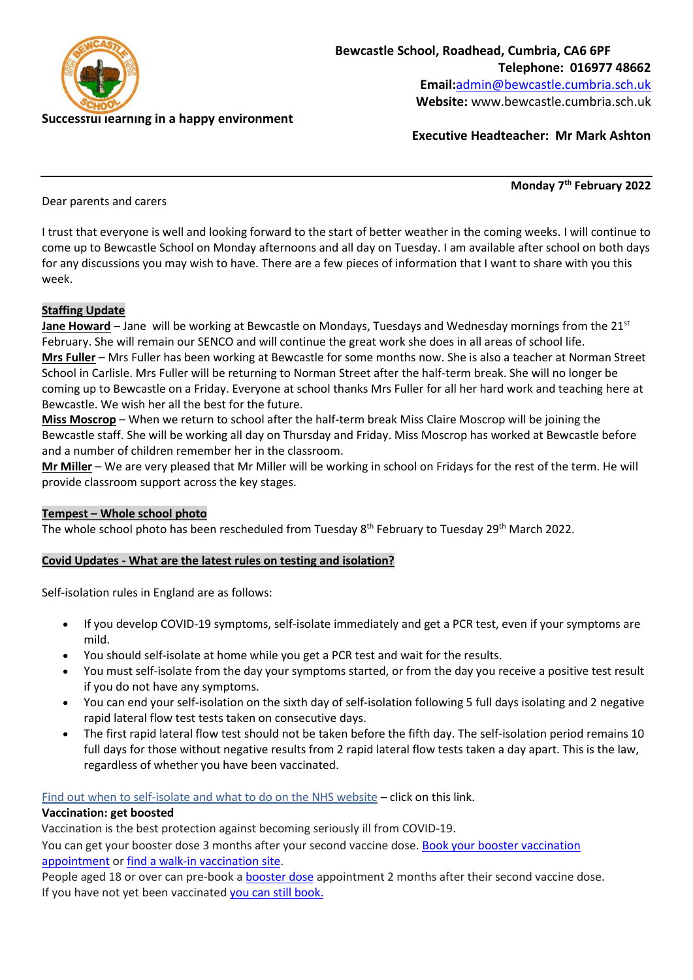

**Executive Headteacher: Mr Mark Ashton**

Dear parents and carers

**Monday 7th February 2022**

I trust that everyone is well and looking forward to the start of better weather in the coming weeks. I will continue to come up to Bewcastle School on Monday afternoons and all day on Tuesday. I am available after school on both days for any discussions you may wish to have. There are a few pieces of information that I want to share with you this week.

# **Staffing Update**

**Jane Howard** – Jane will be working at Bewcastle on Mondays, Tuesdays and Wednesday mornings from the 21st February. She will remain our SENCO and will continue the great work she does in all areas of school life. **Mrs Fuller** – Mrs Fuller has been working at Bewcastle for some months now. She is also a teacher at Norman Street School in Carlisle. Mrs Fuller will be returning to Norman Street after the half-term break. She will no longer be coming up to Bewcastle on a Friday. Everyone at school thanks Mrs Fuller for all her hard work and teaching here at Bewcastle. We wish her all the best for the future.

**Miss Moscrop** – When we return to school after the half-term break Miss Claire Moscrop will be joining the Bewcastle staff. She will be working all day on Thursday and Friday. Miss Moscrop has worked at Bewcastle before and a number of children remember her in the classroom.

**Mr Miller** – We are very pleased that Mr Miller will be working in school on Fridays for the rest of the term. He will provide classroom support across the key stages.

# **Tempest – Whole school photo**

The whole school photo has been rescheduled from Tuesday 8<sup>th</sup> February to Tuesday 29<sup>th</sup> March 2022.

# **Covid Updates - What are the latest rules on testing and isolation?**

Self-isolation rules in England are as follows:

- If you develop COVID-19 symptoms, self-isolate immediately and get a PCR test, even if your symptoms are mild.
- You should self-isolate at home while you get a PCR test and wait for the results.
- You must self-isolate from the day your symptoms started, or from the day you receive a positive test result if you do not have any symptoms.
- You can end your self-isolation on the sixth day of self-isolation following 5 full days isolating and 2 negative rapid lateral flow test tests taken on consecutive days.
- The first rapid lateral flow test should not be taken before the fifth day. The self-isolation period remains 10 full days for those without negative results from 2 rapid lateral flow tests taken a day apart. This is the law, regardless of whether you have been vaccinated.

Find out when to [self-isolate](https://lnks.gd/l/eyJhbGciOiJIUzI1NiJ9.eyJidWxsZXRpbl9saW5rX2lkIjoxMDMsInVyaSI6ImJwMjpjbGljayIsImJ1bGxldGluX2lkIjoiMjAyMjAxMjguNTI1MDM4NzEiLCJ1cmwiOiJodHRwczovL3d3dy5uaHMudWsvY29uZGl0aW9ucy9jb3JvbmF2aXJ1cy1jb3ZpZC0xOS9zZWxmLWlzb2xhdGlvbi1hbmQtdHJlYXRtZW50L3doZW4tdG8tc2VsZi1pc29sYXRlLWFuZC13aGF0LXRvLWRvLyJ9.6GPhLf0xHGONovMQUHxWoaU3KDn7UxvU2MXMa1t1ZRI/s/1123325185/br/125785916471-l) and what to do on the NHS website – click on this link.

# **Vaccination: get boosted**

Vaccination is the best protection against becoming seriously ill from COVID-19.

You can get your booster dose 3 months after your second vaccine dose. Book your booster [vaccination](https://lnks.gd/l/eyJhbGciOiJIUzI1NiJ9.eyJidWxsZXRpbl9saW5rX2lkIjoxMDQsInVyaSI6ImJwMjpjbGljayIsImJ1bGxldGluX2lkIjoiMjAyMjAxMjguNTI1MDM4NzEiLCJ1cmwiOiJodHRwczovL3d3dy5uaHMudWsvY29uZGl0aW9ucy9jb3JvbmF2aXJ1cy1jb3ZpZC0xOS9jb3JvbmF2aXJ1cy12YWNjaW5hdGlvbi9ib29rLWNvcm9uYXZpcnVzLXZhY2NpbmF0aW9uLyJ9.aq4I2ie9x95PpcZu6kXAPT4qhOuaDklnfPtqfZd8Wsc/s/1123325185/br/125785916471-l) [appointment](https://lnks.gd/l/eyJhbGciOiJIUzI1NiJ9.eyJidWxsZXRpbl9saW5rX2lkIjoxMDQsInVyaSI6ImJwMjpjbGljayIsImJ1bGxldGluX2lkIjoiMjAyMjAxMjguNTI1MDM4NzEiLCJ1cmwiOiJodHRwczovL3d3dy5uaHMudWsvY29uZGl0aW9ucy9jb3JvbmF2aXJ1cy1jb3ZpZC0xOS9jb3JvbmF2aXJ1cy12YWNjaW5hdGlvbi9ib29rLWNvcm9uYXZpcnVzLXZhY2NpbmF0aW9uLyJ9.aq4I2ie9x95PpcZu6kXAPT4qhOuaDklnfPtqfZd8Wsc/s/1123325185/br/125785916471-l) or find a walk-in [vaccination](https://lnks.gd/l/eyJhbGciOiJIUzI1NiJ9.eyJidWxsZXRpbl9saW5rX2lkIjoxMDUsInVyaSI6ImJwMjpjbGljayIsImJ1bGxldGluX2lkIjoiMjAyMjAxMjguNTI1MDM4NzEiLCJ1cmwiOiJodHRwczovL3d3dy5uaHMudWsvY29uZGl0aW9ucy9jb3JvbmF2aXJ1cy1jb3ZpZC0xOS9jb3JvbmF2aXJ1cy12YWNjaW5hdGlvbi9maW5kLWEtd2Fsay1pbi1jb3JvbmF2aXJ1cy1jb3ZpZC0xOS12YWNjaW5hdGlvbi1zaXRlLyJ9.l0_OJM_j7V6c_gyTXjQFE-UyvkfWFGq_MdwvtH_duQo/s/1123325185/br/125785916471-l) site.

People aged 18 or over can pre-book a [booster](https://lnks.gd/l/eyJhbGciOiJIUzI1NiJ9.eyJidWxsZXRpbl9saW5rX2lkIjoxMDYsInVyaSI6ImJwMjpjbGljayIsImJ1bGxldGluX2lkIjoiMjAyMjAxMjguNTI1MDM4NzEiLCJ1cmwiOiJodHRwczovL3d3dy5uaHMudWsvY29uZGl0aW9ucy9jb3JvbmF2aXJ1cy1jb3ZpZC0xOS9jb3JvbmF2aXJ1cy12YWNjaW5hdGlvbi9jb3JvbmF2aXJ1cy1ib29zdGVyLXZhY2NpbmUvIn0.rBzpStCr3Mq6PekkRAKcK86c3FFNVQyB6Lw-7GaWRGI/s/1123325185/br/125785916471-l) dose appointment 2 months after their second vaccine dose. If you have not yet been vaccinated you can still [book.](https://lnks.gd/l/eyJhbGciOiJIUzI1NiJ9.eyJidWxsZXRpbl9saW5rX2lkIjoxMDcsInVyaSI6ImJwMjpjbGljayIsImJ1bGxldGluX2lkIjoiMjAyMjAxMjguNTI1MDM4NzEiLCJ1cmwiOiJodHRwczovL3d3dy5uaHMudWsvY29uZGl0aW9ucy9jb3JvbmF2aXJ1cy1jb3ZpZC0xOS9jb3JvbmF2aXJ1cy12YWNjaW5hdGlvbi9ib29rLWNvcm9uYXZpcnVzLXZhY2NpbmF0aW9uLyJ9.LTTsqvfXYRcOZDLheMToinisiSwtpJH6Bock7EUpfKc/s/1123325185/br/125785916471-l)